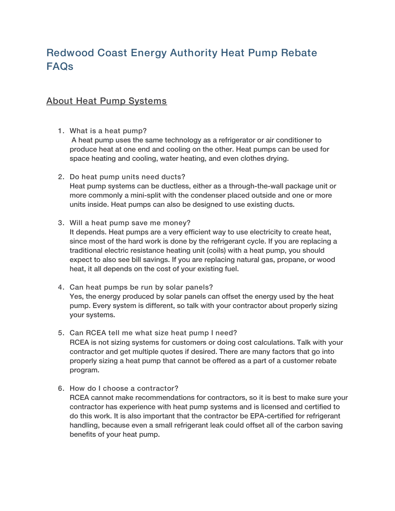## Redwood Coast Energy Authority Heat Pump Rebate FAQs

## About Heat Pump Systems

1. What is a heat pump?

A heat pump uses the same technology as a refrigerator or air conditioner to produce heat at one end and cooling on the other. Heat pumps can be used for space heating and cooling, water heating, and even clothes drying.

2. Do heat pump units need ducts?

Heat pump systems can be ductless, either as a through-the-wall package unit or more commonly a mini-split with the condenser placed outside and one or more units inside. Heat pumps can also be designed to use existing ducts.

3. Will a heat pump save me money?

It depends. Heat pumps are a very efficient way to use electricity to create heat, since most of the hard work is done by the refrigerant cycle. If you are replacing a traditional electric resistance heating unit (coils) with a heat pump, you should expect to also see bill savings. If you are replacing natural gas, propane, or wood heat, it all depends on the cost of your existing fuel.

- 4. Can heat pumps be run by solar panels? Yes, the energy produced by solar panels can offset the energy used by the heat pump. Every system is different, so talk with your contractor about properly sizing your systems.
- 5. Can RCEA tell me what size heat pump I need? RCEA is not sizing systems for customers or doing cost calculations. Talk with your contractor and get multiple quotes if desired. There are many factors that go into properly sizing a heat pump that cannot be offered as a part of a customer rebate program.
- 6. How do I choose a contractor?

RCEA cannot make recommendations for contractors, so it is best to make sure your contractor has experience with heat pump systems and is licensed and certified to do this work. It is also important that the contractor be EPA-certified for refrigerant handling, because even a small refrigerant leak could offset all of the carbon saving benefits of your heat pump.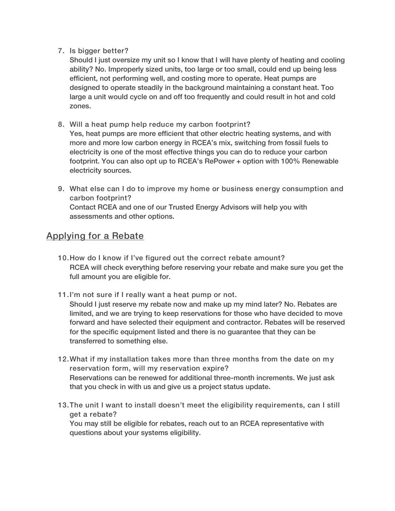7. Is bigger better?

Should I just oversize my unit so I know that I will have plenty of heating and cooling ability? No. Improperly sized units, too large or too small, could end up being less efficient, not performing well, and costing more to operate. Heat pumps are designed to operate steadily in the background maintaining a constant heat. Too large a unit would cycle on and off too frequently and could result in hot and cold zones.

- 8. Will a heat pump help reduce my carbon footprint? Yes, heat pumps are more efficient that other electric heating systems, and with more and more low carbon energy in RCEA's mix, switching from fossil fuels to electricity is one of the most effective things you can do to reduce your carbon footprint. You can also opt up to RCEA's RePower + option with 100% Renewable electricity sources.
- 9. What else can I do to improve my home or business energy consumption and carbon footprint? Contact RCEA and one of our Trusted Energy Advisors will help you with assessments and other options.

## Applying for a Rebate

- 10.How do I know if I've figured out the correct rebate amount? RCEA will check everything before reserving your rebate and make sure you get the full amount you are eligible for.
- 11.I'm not sure if I really want a heat pump or not.

Should I just reserve my rebate now and make up my mind later? No. Rebates are limited, and we are trying to keep reservations for those who have decided to move forward and have selected their equipment and contractor. Rebates will be reserved for the specific equipment listed and there is no guarantee that they can be transferred to something else.

- 12.What if my installation takes more than three months from the date on my reservation form, will my reservation expire? Reservations can be renewed for additional three-month increments. We just ask that you check in with us and give us a project status update.
- 13.The unit I want to install doesn't meet the eligibility requirements, can I still get a rebate? You may still be eligible for rebates, reach out to an RCEA representative with questions about your systems eligibility.